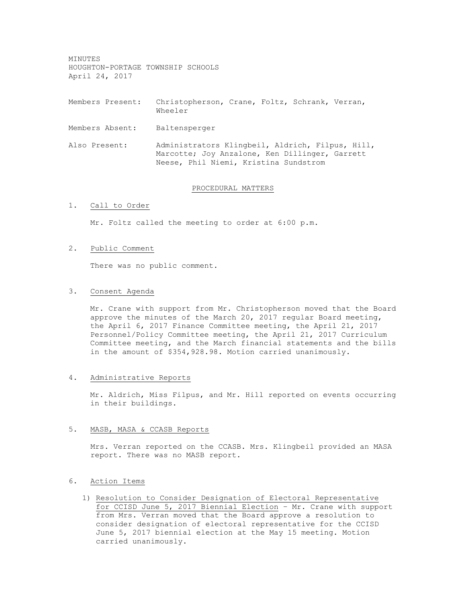MINUTES HOUGHTON-PORTAGE TOWNSHIP SCHOOLS April 24, 2017

Members Present: Christopherson, Crane, Foltz, Schrank, Verran, Wheeler

Members Absent: Baltensperger

Also Present: Administrators Klingbeil, Aldrich, Filpus, Hill, Marcotte; Joy Anzalone, Ken Dillinger, Garrett Neese, Phil Niemi, Kristina Sundstrom

#### PROCEDURAL MATTERS

## 1. Call to Order

Mr. Foltz called the meeting to order at 6:00 p.m.

## 2. Public Comment

There was no public comment.

### 3. Consent Agenda

Mr. Crane with support from Mr. Christopherson moved that the Board approve the minutes of the March 20, 2017 regular Board meeting, the April 6, 2017 Finance Committee meeting, the April 21, 2017 Personnel/Policy Committee meeting, the April 21, 2017 Curriculum Committee meeting, and the March financial statements and the bills in the amount of \$354,928.98. Motion carried unanimously.

### 4. Administrative Reports

Mr. Aldrich, Miss Filpus, and Mr. Hill reported on events occurring in their buildings.

#### 5. MASB, MASA & CCASB Reports

Mrs. Verran reported on the CCASB. Mrs. Klingbeil provided an MASA report. There was no MASB report.

## 6. Action Items

1) Resolution to Consider Designation of Electoral Representative for CCISD June 5, 2017 Biennial Election – Mr. Crane with support from Mrs. Verran moved that the Board approve a resolution to consider designation of electoral representative for the CCISD June 5, 2017 biennial election at the May 15 meeting. Motion carried unanimously.